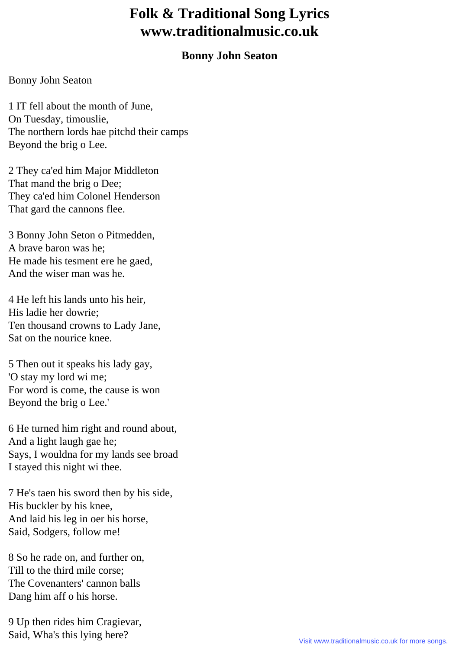## **Folk & Traditional Song Lyrics www.traditionalmusic.co.uk**

## **Bonny John Seaton**

## Bonny John Seaton

1 IT fell about the month of June, On Tuesday, timouslie, The northern lords hae pitchd their camps Beyond the brig o Lee.

2 They ca'ed him Major Middleton That mand the brig o Dee; They ca'ed him Colonel Henderson That gard the cannons flee.

3 Bonny John Seton o Pitmedden, A brave baron was he; He made his tesment ere he gaed, And the wiser man was he.

4 He left his lands unto his heir, His ladie her dowrie; Ten thousand crowns to Lady Jane, Sat on the nourice knee.

5 Then out it speaks his lady gay, 'O stay my lord wi me; For word is come, the cause is won Beyond the brig o Lee.'

6 He turned him right and round about, And a light laugh gae he; Says, I wouldna for my lands see broad I stayed this night wi thee.

7 He's taen his sword then by his side, His buckler by his knee, And laid his leg in oer his horse, Said, Sodgers, follow me!

8 So he rade on, and further on, Till to the third mile corse; The Covenanters' cannon balls Dang him aff o his horse.

9 Up then rides him Cragievar, Said, Wha's this lying here?